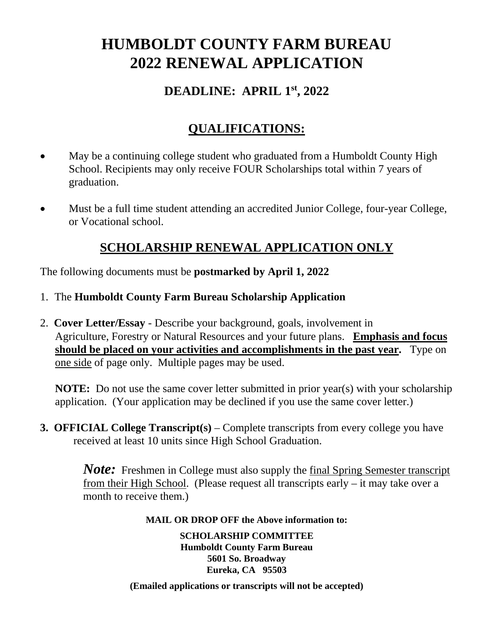# **HUMBOLDT COUNTY FARM BUREAU 2022 RENEWAL APPLICATION**

#### **DEADLINE: APRIL 1st , 2022**

### **QUALIFICATIONS:**

- May be a continuing college student who graduated from a Humboldt County High School. Recipients may only receive FOUR Scholarships total within 7 years of graduation.
- Must be a full time student attending an accredited Junior College, four-year College, or Vocational school.

#### **SCHOLARSHIP RENEWAL APPLICATION ONLY**

The following documents must be **postmarked by April 1, 2022**

- 1. The **Humboldt County Farm Bureau Scholarship Application**
- 2. **Cover Letter/Essay** Describe your background, goals, involvement in Agriculture, Forestry or Natural Resources and your future plans. **Emphasis and focus should be placed on your activities and accomplishments in the past year.** Type on one side of page only. Multiple pages may be used.

**NOTE:** Do not use the same cover letter submitted in prior year(s) with your scholarship application. (Your application may be declined if you use the same cover letter.)

**3. OFFICIAL College Transcript(s)** – Complete transcripts from every college you have received at least 10 units since High School Graduation.

> *Note:* Freshmen in College must also supply the final Spring Semester transcript from their High School. (Please request all transcripts early – it may take over a month to receive them.)

#### **MAIL OR DROP OFF the Above information to:**

**SCHOLARSHIP COMMITTEE Humboldt County Farm Bureau 5601 So. Broadway Eureka, CA 95503**

**(Emailed applications or transcripts will not be accepted)**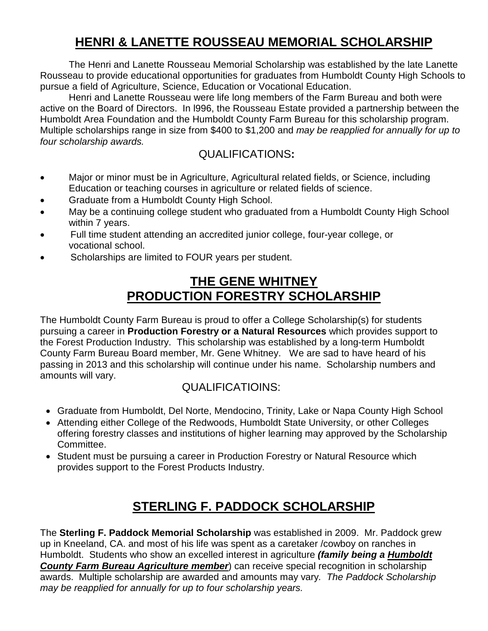# **HENRI & LANETTE ROUSSEAU MEMORIAL SCHOLARSHIP**

The Henri and Lanette Rousseau Memorial Scholarship was established by the late Lanette Rousseau to provide educational opportunities for graduates from Humboldt County High Schools to pursue a field of Agriculture, Science, Education or Vocational Education.

Henri and Lanette Rousseau were life long members of the Farm Bureau and both were active on the Board of Directors. In l996, the Rousseau Estate provided a partnership between the Humboldt Area Foundation and the Humboldt County Farm Bureau for this scholarship program. Multiple scholarships range in size from \$400 to \$1,200 and *may be reapplied for annually for up to four scholarship awards.*

#### QUALIFICATIONS**:**

- Major or minor must be in Agriculture, Agricultural related fields, or Science, including Education or teaching courses in agriculture or related fields of science.
- Graduate from a Humboldt County High School.
- May be a continuing college student who graduated from a Humboldt County High School within 7 years.
- Full time student attending an accredited junior college, four-year college, or vocational school.
- Scholarships are limited to FOUR years per student.

### **THE GENE WHITNEY PRODUCTION FORESTRY SCHOLARSHIP**

The Humboldt County Farm Bureau is proud to offer a College Scholarship(s) for students pursuing a career in **Production Forestry or a Natural Resources** which provides support to the Forest Production Industry. This scholarship was established by a long-term Humboldt County Farm Bureau Board member, Mr. Gene Whitney. We are sad to have heard of his passing in 2013 and this scholarship will continue under his name. Scholarship numbers and amounts will vary.

#### QUALIFICATIOINS:

- Graduate from Humboldt, Del Norte, Mendocino, Trinity, Lake or Napa County High School
- Attending either College of the Redwoods, Humboldt State University, or other Colleges offering forestry classes and institutions of higher learning may approved by the Scholarship Committee.
- Student must be pursuing a career in Production Forestry or Natural Resource which provides support to the Forest Products Industry.

### **STERLING F. PADDOCK SCHOLARSHIP**

The **Sterling F. Paddock Memorial Scholarship** was established in 2009. Mr. Paddock grew up in Kneeland, CA. and most of his life was spent as a caretaker /cowboy on ranches in Humboldt. Students who show an excelled interest in agriculture *(family being a Humboldt County Farm Bureau Agriculture member*) can receive special recognition in scholarship awards. Multiple scholarship are awarded and amounts may vary*. The Paddock Scholarship may be reapplied for annually for up to four scholarship years.*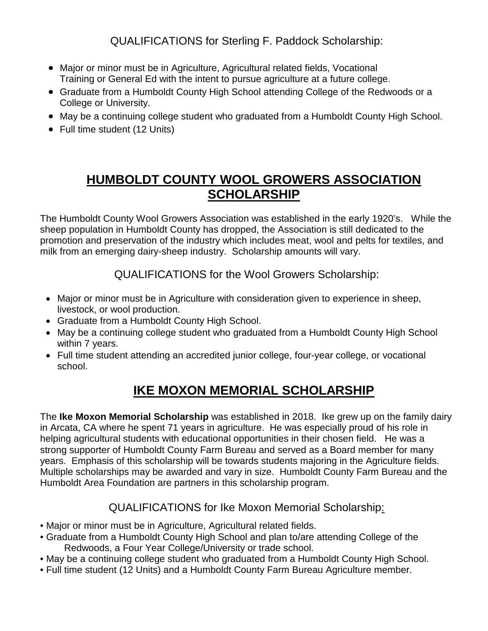QUALIFICATIONS for Sterling F. Paddock Scholarship:

- Major or minor must be in Agriculture, Agricultural related fields, Vocational Training or General Ed with the intent to pursue agriculture at a future college.
- Graduate from a Humboldt County High School attending College of the Redwoods or a College or University.
- May be a continuing college student who graduated from a Humboldt County High School.
- Full time student (12 Units)

## **HUMBOLDT COUNTY WOOL GROWERS ASSOCIATION SCHOLARSHIP**

The Humboldt County Wool Growers Association was established in the early 1920's. While the sheep population in Humboldt County has dropped, the Association is still dedicated to the promotion and preservation of the industry which includes meat, wool and pelts for textiles, and milk from an emerging dairy-sheep industry. Scholarship amounts will vary.

QUALIFICATIONS for the Wool Growers Scholarship:

- Major or minor must be in Agriculture with consideration given to experience in sheep, livestock, or wool production.
- Graduate from a Humboldt County High School.
- May be a continuing college student who graduated from a Humboldt County High School within 7 years.
- Full time student attending an accredited junior college, four-year college, or vocational school.

# **IKE MOXON MEMORIAL SCHOLARSHIP**

The **Ike Moxon Memorial Scholarship** was established in 2018. Ike grew up on the family dairy in Arcata, CA where he spent 71 years in agriculture. He was especially proud of his role in helping agricultural students with educational opportunities in their chosen field. He was a strong supporter of Humboldt County Farm Bureau and served as a Board member for many years. Emphasis of this scholarship will be towards students majoring in the Agriculture fields. Multiple scholarships may be awarded and vary in size. Humboldt County Farm Bureau and the Humboldt Area Foundation are partners in this scholarship program.

#### QUALIFICATIONS for Ike Moxon Memorial Scholarship:

- Major or minor must be in Agriculture, Agricultural related fields.
- Graduate from a Humboldt County High School and plan to/are attending College of the Redwoods, a Four Year College/University or trade school.
- May be a continuing college student who graduated from a Humboldt County High School.
- Full time student (12 Units) and a Humboldt County Farm Bureau Agriculture member.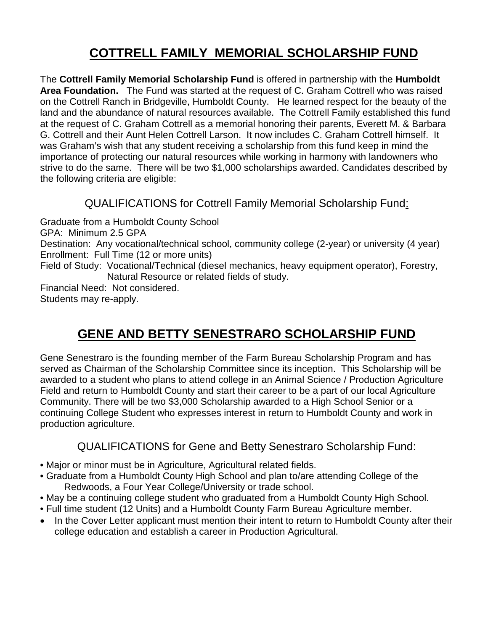# **COTTRELL FAMILY MEMORIAL SCHOLARSHIP FUND**

The **Cottrell Family Memorial Scholarship Fund** is offered in partnership with the **Humboldt Area Foundation.** The Fund was started at the request of C. Graham Cottrell who was raised on the Cottrell Ranch in Bridgeville, Humboldt County. He learned respect for the beauty of the land and the abundance of natural resources available. The Cottrell Family established this fund at the request of C. Graham Cottrell as a memorial honoring their parents, Everett M. & Barbara G. Cottrell and their Aunt Helen Cottrell Larson. It now includes C. Graham Cottrell himself. It was Graham's wish that any student receiving a scholarship from this fund keep in mind the importance of protecting our natural resources while working in harmony with landowners who strive to do the same. There will be two \$1,000 scholarships awarded. Candidates described by the following criteria are eligible:

#### QUALIFICATIONS for Cottrell Family Memorial Scholarship Fund:

Graduate from a Humboldt County School GPA: Minimum 2.5 GPA Destination: Any vocational/technical school, community college (2-year) or university (4 year) Enrollment: Full Time (12 or more units) Field of Study: Vocational/Technical (diesel mechanics, heavy equipment operator), Forestry, Natural Resource or related fields of study. Financial Need: Not considered. Students may re-apply.

### **GENE AND BETTY SENESTRARO SCHOLARSHIP FUND**

Gene Senestraro is the founding member of the Farm Bureau Scholarship Program and has served as Chairman of the Scholarship Committee since its inception. This Scholarship will be awarded to a student who plans to attend college in an Animal Science / Production Agriculture Field and return to Humboldt County and start their career to be a part of our local Agriculture Community. There will be two \$3,000 Scholarship awarded to a High School Senior or a continuing College Student who expresses interest in return to Humboldt County and work in production agriculture.

#### QUALIFICATIONS for Gene and Betty Senestraro Scholarship Fund:

- Major or minor must be in Agriculture, Agricultural related fields.
- Graduate from a Humboldt County High School and plan to/are attending College of the Redwoods, a Four Year College/University or trade school.
- May be a continuing college student who graduated from a Humboldt County High School.
- Full time student (12 Units) and a Humboldt County Farm Bureau Agriculture member.
- In the Cover Letter applicant must mention their intent to return to Humboldt County after their college education and establish a career in Production Agricultural.